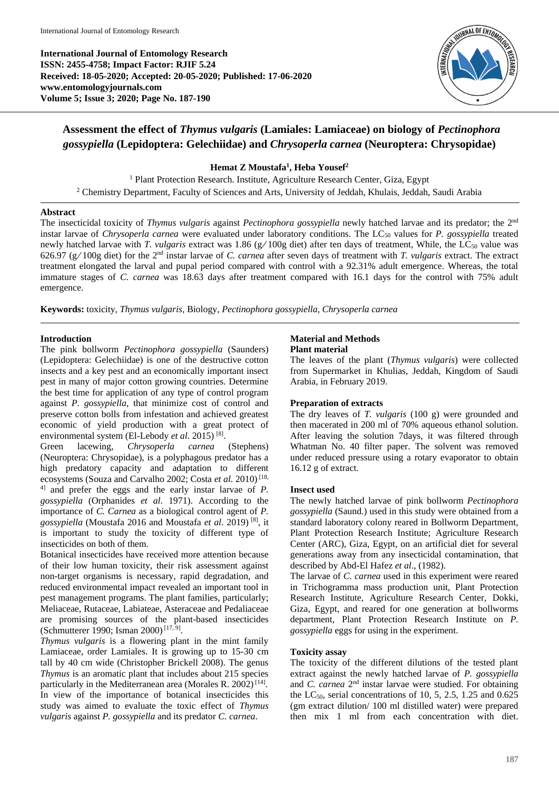**International Journal of Entomology Research ISSN: 2455-4758; Impact Factor: RJIF 5.24 Received: 18-05-2020; Accepted: 20-05-2020; Published: 17-06-2020 www.entomologyjournals.com Volume 5; Issue 3; 2020; Page No. 187-190**



# **Assessment the effect of** *Thymus vulgaris* **(Lamiales: Lamiaceae) on biology of** *Pectinophora gossypiella* **(Lepidoptera: Gelechiidae) and** *Chrysoperla carnea* **(Neuroptera: Chrysopidae)**

## **Hemat Z Moustafa<sup>1</sup> , Heba Yousef<sup>2</sup>**

<sup>1</sup> Plant Protection Research. Institute, Agriculture Research Center, Giza, Egypt <sup>2</sup> Chemistry Department, Faculty of Sciences and Arts, University of Jeddah, Khulais, Jeddah, Saudi Arabia

#### **Abstract**

The insecticidal toxicity of *Thymus vulgaris* against *Pectinophora gossypiella* newly hatched larvae and its predator; the 2nd instar larvae of *Chrysoperla carnea* were evaluated under laboratory conditions. The LC<sub>50</sub> values for *P. gossypiella* treated newly hatched larvae with *T. vulgaris* extract was 1.86 (g/100g diet) after ten days of treatment, While, the LC<sub>50</sub> value was 626.97 (g**/** 100g diet) for the 2nd instar larvae of *C. carnea* after seven days of treatment with *T. vulgaris* extract. The extract treatment elongated the larval and pupal period compared with control with a 92.31% adult emergence. Whereas, the total immature stages of *C. carnea* was 18.63 days after treatment compared with 16.1 days for the control with 75% adult emergence.

**Keywords:** toxicity, *Thymus vulgaris,* Biology, *Pectinophora gossypiella*, *Chrysoperla carnea*

### **Introduction**

The pink bollworm *Pectinophora gossypiella* (Saunders) (Lepidoptera: Gelechiidae) is one of the destructive cotton insects and a key pest and an economically important insect pest in many of major cotton growing countries. Determine the best time for application of any type of control program against *P. gossypiella*, that minimize cost of control and preserve cotton bolls from infestation and achieved greatest economic of yield production with a great protect of environmental system (El-Lebody et al. 2015)<sup>[8]</sup>.

Green lacewing, *Chrysoperla carnea* (Stephens) (Neuroptera: Chrysopidae), is a polyphagous predator has a high predatory capacity and adaptation to different ecosystems (Souza and Carvalho 2002; Costa *et al*. 2010) [18, 4] and prefer the eggs and the early instar larvae of *P. gossypiella* (Orphanides *et al*. 1971). According to the importance of *C. Carnea* as a biological control agent of *P. gossypiella* (Moustafa 2016 and Moustafa *et al*. 2019) [8], it is important to study the toxicity of different type of insecticides on both of them.

Botanical insecticides have received more attention because of their low human toxicity, their risk assessment against non-target organisms is necessary, rapid degradation, and reduced environmental impact revealed an important tool in pest management programs. The plant families, particularly; Meliaceae, Rutaceae, Labiateae, Asteraceae and Pedaliaceae are promising sources of the plant-based insecticides (Schmutterer 1990; Isman 2000)<sup>[17, 9]</sup>.

*Thymus vulgaris* is a flowering plant in the mint family Lamiaceae, order Lamiales. It is growing up to 15-30 cm tall by 40 cm wide (Christopher Brickell 2008). The genus *Thymus* is an aromatic plant that includes about 215 species particularly in the Mediterranean area (Morales R. 2002)<sup>[14]</sup>. In view of the importance of botanical insecticides this study was aimed to evaluate the toxic effect of *Thymus vulgaris* against *P. gossypiella* and its predator *C. carnea*.

#### **Material and Methods Plant material**

The leaves of the plant (*Thymus vulgaris*) were collected from Supermarket in Khulias, Jeddah, Kingdom of Saudi Arabia, in February 2019.

### **Preparation of extracts**

The dry leaves of *T. vulgaris* (100 g) were grounded and then macerated in 200 ml of 70% aqueous ethanol solution. After leaving the solution 7days, it was filtered through Whatman No. 40 filter paper. The solvent was removed under reduced pressure using a rotary evaporator to obtain 16.12 g of extract.

#### **Insect used**

The newly hatched larvae of pink bollworm *Pectinophora gossypiella* (Saund.) used in this study were obtained from a standard laboratory colony reared in Bollworm Department, Plant Protection Research Institute; Agriculture Research Center (ARC), Giza, Egypt, on an artificial diet for several generations away from any insecticidal contamination, that described by Abd-El Hafez *et al*., (1982).

The larvae of *C. carnea* used in this experiment were reared in Trichogramma mass production unit, Plant Protection Research Institute, Agriculture Research Center, Dokki, Giza, Egypt, and reared for one generation at bollworms department, Plant Protection Research Institute on *P. gossypiella* eggs for using in the experiment.

### **Toxicity assay**

The toxicity of the different dilutions of the tested plant extract against the newly hatched larvae of *P. gossypiella*  and *C. carnea* 2<sup>nd</sup> instar larvae were studied. For obtaining the LC<sub>50</sub>, serial concentrations of 10, 5, 2.5, 1.25 and  $0.625$ (gm extract dilution/ 100 ml distilled water) were prepared then mix 1 ml from each concentration with diet.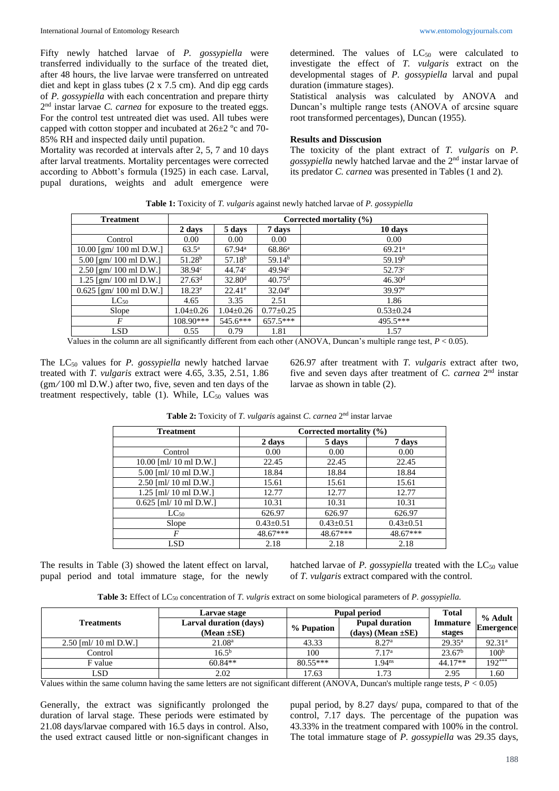Fifty newly hatched larvae of *P. gossypiella* were transferred individually to the surface of the treated diet, after 48 hours, the live larvae were transferred on untreated diet and kept in glass tubes (2 x 7.5 cm). And dip egg cards of *P. gossypiella* with each concentration and prepare thirty 2<sup>nd</sup> instar larvae *C. carnea* for exposure to the treated eggs. For the control test untreated diet was used. All tubes were capped with cotton stopper and incubated at 26±2 ºc and 70- 85% RH and inspected daily until pupation.

Mortality was recorded at intervals after 2, 5, 7 and 10 days after larval treatments. Mortality percentages were corrected according to Abbott's formula (1925) in each case. Larval, pupal durations, weights and adult emergence were

determined. The values of  $LC_{50}$  were calculated to investigate the effect of *T. vulgaris* extract on the developmental stages of *P. gossypiella* larval and pupal duration (immature stages).

Statistical analysis was calculated by ANOVA and Duncan's multiple range tests (ANOVA of arcsine square root transformed percentages), Duncan (1955).

#### **Results and Disscusion**

The toxicity of the plant extract of *T. vulgaris* on *P. gossypiella* newly hatched larvae and the 2nd instar larvae of its predator *C. carnea* was presented in Tables (1 and 2).

|  | <b>Table 1:</b> Toxicity of <i>T. vulgaris</i> against newly hatched larvae of <i>P. gossypiella</i> |  |
|--|------------------------------------------------------------------------------------------------------|--|
|  |                                                                                                      |  |

| <b>Treatment</b>          | Corrected mortality $(\% )$ |                    |                    |                    |
|---------------------------|-----------------------------|--------------------|--------------------|--------------------|
|                           | 2 days                      | 5 days             | 7 days             | 10 days            |
| Control                   | 0.00                        | 0.00               | 0.00               | 0.00               |
| $10.00$ [gm/ 100 ml D.W.] | $63.5^{\rm a}$              | $67.94^{\rm a}$    | 68.86 <sup>a</sup> | 69.21 <sup>a</sup> |
| $5.00$ [gm/ 100 ml D.W.]  | 51.28 <sup>b</sup>          | 57.18 <sup>b</sup> | 59.14 <sup>b</sup> | 59.19 <sup>b</sup> |
| $2.50$ [gm/ 100 ml D.W.]  | $38.94^{\circ}$             | 44.74c             | 49.94 <sup>c</sup> | $52.73^{\circ}$    |
| 1.25 [gm/ 100 ml D.W.]    | 27.63 <sup>d</sup>          | 32.80 <sup>d</sup> | 40.75 <sup>d</sup> | 46.30 <sup>d</sup> |
| $0.625$ [gm/ 100 ml D.W.] | $18.23^e$                   | $22.41^{\circ}$    | $32.04^e$          | $39.97^{\circ}$    |
| $LC_{50}$                 | 4.65                        | 3.35               | 2.51               | 1.86               |
| Slope                     | $1.04 \pm 0.26$             | 1.04±0.26          | $0.77 \pm 0.25$    | $0.53 \pm 0.24$    |
| F                         | $108.90***$                 | $545.6***$         | $657.5***$         | 495.5***           |
| LSD                       | 0.55                        | 0.79               | 1.81               | 1.57               |

Values in the column are all significantly different from each other (ANOVA, Duncan's multiple range test, *P* < 0.05).

The LC<sub>50</sub> values for *P. gossypiella* newly hatched larvae treated with *T. vulgaris* extract were 4.65, 3.35, 2.51, 1.86 (gm**/** 100 ml D.W.) after two, five, seven and ten days of the treatment respectively, table  $(1)$ . While, LC<sub>50</sub> values was

626.97 after treatment with *T. vulgaris* extract after two, five and seven days after treatment of *C. carnea* 2<sup>nd</sup> instar larvae as shown in table (2).

| <b>Treatment</b>         | Corrected mortality (%) |                 |                 |  |
|--------------------------|-------------------------|-----------------|-----------------|--|
|                          | 2 days                  | 5 days          | 7 days          |  |
| Control                  | 0.00                    | 0.00            | 0.00            |  |
| 10.00 [ml/ 10 ml D.W.]   | 22.45                   | 22.45           | 22.45           |  |
| 5.00 [ml/ 10 ml D.W.]    | 18.84                   | 18.84           | 18.84           |  |
| 2.50 [ml/ 10 ml D.W.]    | 15.61                   | 15.61           | 15.61           |  |
| $1.25$ [ml/ 10 ml D.W.]  | 12.77                   | 12.77           | 12.77           |  |
| $0.625$ [ml/ 10 ml D.W.] | 10.31                   | 10.31           | 10.31           |  |
| $LC_{50}$                | 626.97                  | 626.97          | 626.97          |  |
| Slope                    | $0.43 \pm 0.51$         | $0.43 \pm 0.51$ | $0.43 \pm 0.51$ |  |
| F                        | 48.67***                | 48.67***        | 48.67***        |  |
| LSD                      | 2.18                    | 2.18            | 2.18            |  |

**Table 2:** Toxicity of *T. vulgaris* against *C. carnea* 2<sup>nd</sup> instar larvae

The results in Table (3) showed the latent effect on larval, pupal period and total immature stage, for the newly hatched larvae of *P. gossypiella* treated with the LC<sub>50</sub> value of *T. vulgaris* extract compared with the control.

**Table 3:** Effect of LC<sup>50</sup> concentration of *T. vulgris* extract on some biological parameters of *P. gossypiella*.

|                         | Larvae stage                                     |            | <b>Pupal period</b>                               | <b>Total</b><br>Immature<br>stages | % Adult<br><b>Emergence</b> |
|-------------------------|--------------------------------------------------|------------|---------------------------------------------------|------------------------------------|-----------------------------|
| <b>Treatments</b>       | <b>Larval duration (days)</b><br>$(Mean \pm SE)$ | % Pupation | <b>Pupal duration</b><br>$(days)$ (Mean $\pm$ SE) |                                    |                             |
| $2.50$ [ml/ 10 ml D.W.] | 21.08 <sup>a</sup>                               | 43.33      | 8.27 <sup>a</sup>                                 | $29.35^{\rm a}$                    | 92.31 <sup>a</sup>          |
| Control                 | $16.5^{b}$                                       | 100        | 7.17 <sup>a</sup>                                 | 23.67 <sup>b</sup>                 | 100 <sup>b</sup>            |
| F value                 | $60.84**$                                        | $80.55***$ | .94 <sup>ns</sup>                                 | 44.17**                            | $192***$                    |
| LSD                     | 2.02                                             | 17.63      | 1.73                                              | 2.95                               | .60                         |

Values within the same column having the same letters are not significant different (ANOVA, Duncan's multiple range tests, *P <* 0.05)

Generally, the extract was significantly prolonged the duration of larval stage. These periods were estimated by 21.08 days/larvae compared with 16.5 days in control. Also, the used extract caused little or non-significant changes in

pupal period, by 8.27 days/ pupa, compared to that of the control, 7.17 days. The percentage of the pupation was 43.33% in the treatment compared with 100% in the control. The total immature stage of *P. gossypiella* was 29.35 days,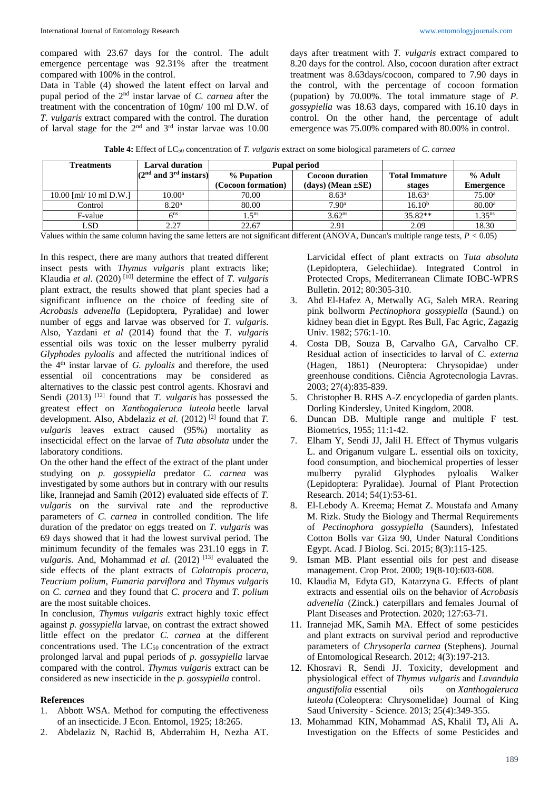compared with 23.67 days for the control. The adult emergence percentage was 92.31% after the treatment compared with 100% in the control.

Data in Table (4) showed the latent effect on larval and pupal period of the 2nd instar larvae of *C. carnea* after the treatment with the concentration of 10gm/ 100 ml D.W. of *T. vulgaris* extract compared with the control. The duration of larval stage for the  $2<sup>nd</sup>$  and  $3<sup>rd</sup>$  instar larvae was 10.00 days after treatment with *T. vulgaris* extract compared to 8.20 days for the control. Also, cocoon duration after extract treatment was 8.63days/cocoon, compared to 7.90 days in the control, with the percentage of cocoon formation (pupation) by 70.00%. The total immature stage of *P. gossypiella* was 18.63 days, compared with 16.10 days in control. On the other hand, the percentage of adult emergence was 75.00% compared with 80.00% in control.

**Table 4:** Effect of LC<sup>50</sup> concentration of *T. vulgaris* extract on some biological parameters of *C*. *carnea*

| <b>Treatments</b>      | Larval duration           | <b>Pupal period</b> |                          |                       |                    |
|------------------------|---------------------------|---------------------|--------------------------|-----------------------|--------------------|
|                        | $(2nd$ and $3rd$ instars) | % Pupation          | <b>Cocoon duration</b>   | <b>Total Immature</b> | % Adult            |
|                        |                           | (Cocoon formation)  | $(days)$ (Mean $\pm$ SE) | stages                | <b>Emergence</b>   |
| 10.00 [ml/ 10 ml D.W.] | $10.00^{\rm a}$           | 70.00               | 8.63 <sup>a</sup>        | $18.63^{\circ}$       | 75.00a             |
| Control                | 8.20 <sup>a</sup>         | 80.00               | 7.90 <sup>a</sup>        | 16.10 <sup>b</sup>    | 80.00 <sup>a</sup> |
| F-value                | 6 <sup>ns</sup>           | 1.5 <sup>ns</sup>   | $3.62^{ns}$              | $35.82**$             | $1.35^{ns}$        |
| LSD                    | 2.27                      | 22.67               | 2.91                     | 2.09                  | 18.30              |

Values within the same column having the same letters are not significant different (ANOVA, Duncan's multiple range tests, *P <* 0.05)

In this respect, there are many authors that treated different insect pests with *Thymus vulgaris* plant extracts like; Klaudia *et al*. (2020) [10] determine the effect of *T. vulgaris* plant extract, the results showed that plant species had a significant influence on the choice of feeding site of *Acrobasis advenella* (Lepidoptera, Pyralidae) and lower number of eggs and larvae was observed for *T. vulgaris*. Also, Yazdani *et al* (2014) found that the *T. vulgaris* essential oils was toxic on the lesser mulberry pyralid *Glyphodes pyloalis* and affected the nutritional indices of the 4<sup>th</sup> instar larvae of *G. pyloalis* and therefore, the used essential oil concentrations may be considered as alternatives to the classic pest control agents. Khosravi and Sendi (2013) [12] found that *T. vulgaris* has possessed the greatest effect on *Xanthogaleruca luteola* beetle larval development. Also, Abdelaziz *et al.* (2012) [2] found that *T. vulgaris* leaves extract caused (95%) mortality as insecticidal effect on the larvae of *Tuta absoluta* under the laboratory conditions.

On the other hand the effect of the extract of the plant under studying on *p. gossypiella* predator *C. carnea* was investigated by some authors but in contrary with our results like, Irannejad and Samih (2012) evaluated side effects of *T. vulgaris* on the survival rate and the reproductive parameters of *C. carnea* in controlled condition. The life duration of the predator on eggs treated on *T. vulgaris* was 69 days showed that it had the lowest survival period. The minimum fecundity of the females was 231.10 eggs in *T. vulgaris*. And, Mohammad *et al.* (2012)<sup>[13]</sup> evaluated the side effects of the plant extracts of *Calotropis procera*, *Teucrium polium*, *Fumaria parviflora* and *Thymus vulgaris* on *C. carnea* and they found that *C. procera* and *T. polium* are the most suitable choices.

In conclusion, *Thymus vulgaris* extract highly toxic effect against *p. gossypiella* larvae, on contrast the extract showed little effect on the predator *C. carnea* at the different concentrations used. The  $LC_{50}$  concentration of the extract prolonged larval and pupal periods of *p. gossypiella* larvae compared with the control. *Thymus vulgaris* extract can be considered as new insecticide in the *p. gossypiella* control.

#### **References**

- 1. Abbott WSA. Method for computing the effectiveness of an insecticide. J Econ. Entomol, 1925; 18:265.
- 2. Abdelaziz N, Rachid B, Abderrahim H, Nezha AT.

Larvicidal effect of plant extracts on *Tuta absoluta* (Lepidoptera, Gelechiidae). Integrated Control in Protected Crops, Mediterranean Climate IOBC-WPRS Bulletin. 2012; 80:305-310.

- 3. Abd El-Hafez A, Metwally AG, Saleh MRA. Rearing pink bollworm *Pectinophora gossypiella* (Saund.) on kidney bean diet in Egypt. Res Bull, Fac Agric, Zagazig Univ. 1982; 576:1-10.
- 4. Costa DB, Souza B, Carvalho GA, Carvalho CF. Residual action of insecticides to larval of *C. externa*  (Hagen, 1861) (Neuroptera: Chrysopidae) under greenhouse conditions. Ciência Agrotecnologia Lavras. 2003; 27(4):835-839.
- 5. Christopher B. RHS A-Z encyclopedia of garden plants. Dorling Kindersley, United Kingdom, 2008.
- 6. Duncan DB. Multiple range and multiple F test. Biometrics, 1955; 11:1-42.
- 7. Elham Y, Sendi JJ, Jalil H. Effect of Thymus vulgaris L. and Origanum vulgare L. essential oils on toxicity, food consumption, and biochemical properties of lesser mulberry pyralid Glyphodes pyloalis Walker (Lepidoptera: Pyralidae). Journal of Plant Protection Research. 2014; 54(1):53-61.
- 8. El-Lebody A. Kreema; Hemat Z. Moustafa and Amany M. Rizk. Study the Biology and Thermal Requirements of *Pectinophora gossypiella* (Saunders), Infestated Cotton Bolls var Giza 90, Under Natural Conditions Egypt. Acad. J Biolog. Sci. 2015; 8(3):115-125.
- 9. Isman MB. Plant essential oils for pest and disease management. Crop Prot. 2000; 19(8-10):603-608.
- 10. Klaudia M, Edyta GD, Katarzyna G. Effects of plant extracts and essential oils on the behavior of *Acrobasis advenella* (Zinck.) caterpillars and females Journal of Plant Diseases and Protection. 2020; 127:63-71.
- 11. Irannejad MK, Samih MA. Effect of some pesticides and plant extracts on survival period and reproductive parameters of *Chrysoperla carnea* (Stephens). Journal of Entomological Research. 2012; 4(3):197-213.
- 12. Khosravi R, Sendi JJ. Toxicity, development and physiological effect of *Thymus vulgaris* and *Lavandula angustifolia* essential oils on *Xanthogaleruca luteola* (Coleoptera: Chrysomelidae) Journal of King Saud University - Science. 2013; 25(4):349-355.
- 13. Mohammad KIN, Mohammad AS, Khalil TJ**,** Ali A**.** Investigation on the Effects of some Pesticides and